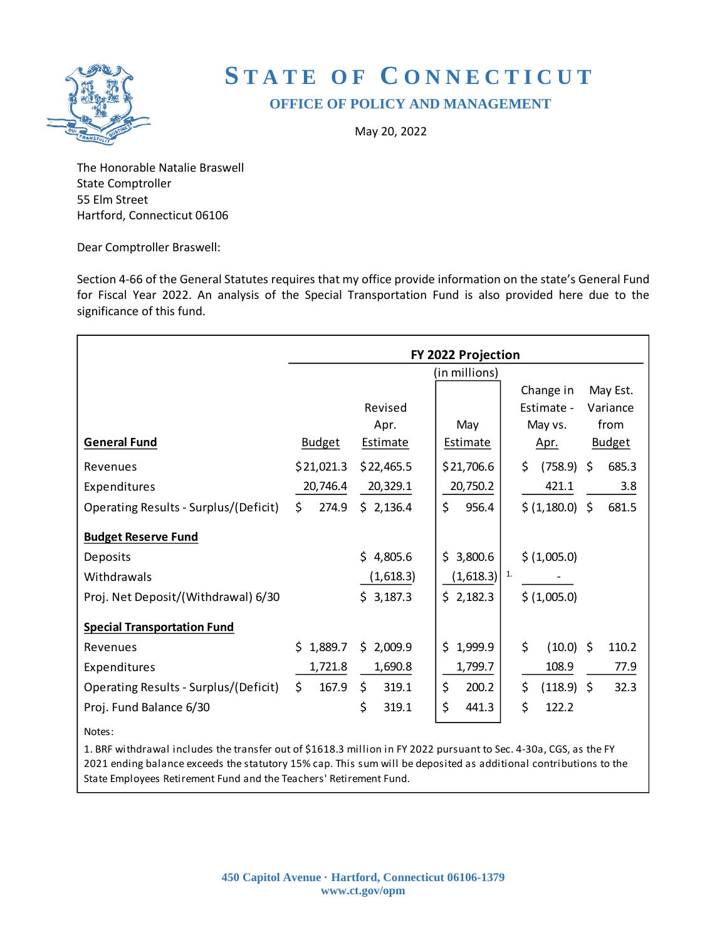

# **S T A T E O F C O N N E C T I C U T OFFICE OF POLICY AND MANAGEMENT**

May 20, 2022

The Honorable Natalie Braswell State Comptroller 55 Elm Street Hartford, Connecticut 06106

Dear Comptroller Braswell:

Section 4-66 of the General Statutes requires that my office provide information on the state's General Fund for Fiscal Year 2022. An analysis of the Special Transportation Fund is also provided here due to the significance of this fund.

|                                       | FY 2022 Projection |                 |                           |                     |               |  |  |  |  |  |  |
|---------------------------------------|--------------------|-----------------|---------------------------|---------------------|---------------|--|--|--|--|--|--|
|                                       | (in millions)      |                 |                           |                     |               |  |  |  |  |  |  |
|                                       |                    |                 |                           | Change in           | May Est.      |  |  |  |  |  |  |
|                                       |                    | Revised         |                           | Estimate -          | Variance      |  |  |  |  |  |  |
|                                       |                    | Apr.            | May                       | May vs.             | from          |  |  |  |  |  |  |
| <b>General Fund</b>                   | <b>Budget</b>      | <b>Estimate</b> | <b>Estimate</b>           | <u>Apr.</u>         | <b>Budget</b> |  |  |  |  |  |  |
| Revenues                              | \$21,021.3         | \$22,465.5      | \$21,706.6                | $(758.9)$ \$<br>\$. | 685.3         |  |  |  |  |  |  |
| Expenditures                          | 20,746.4           | 20,329.1        | 20,750.2                  | 421.1               | 3.8           |  |  |  |  |  |  |
| Operating Results - Surplus/(Deficit) | \$<br>274.9        | \$2,136.4       | \$<br>956.4               | \$ (1,180.0) \$     | 681.5         |  |  |  |  |  |  |
| <b>Budget Reserve Fund</b>            |                    |                 |                           |                     |               |  |  |  |  |  |  |
| Deposits                              |                    | \$4,805.6       | \$3,800.6                 | \$ (1,005.0)        |               |  |  |  |  |  |  |
| Withdrawals                           |                    | (1,618.3)       | $(1,618.3)$ <sup>1.</sup> |                     |               |  |  |  |  |  |  |
| Proj. Net Deposit/(Withdrawal) 6/30   |                    | \$3,187.3       | \$2,182.3                 | \$ (1,005.0)        |               |  |  |  |  |  |  |
| <b>Special Transportation Fund</b>    |                    |                 |                           |                     |               |  |  |  |  |  |  |
| Revenues                              | 1,889.7<br>\$.     | \$2,009.9       | \$<br>1,999.9             | \$<br>$(10.0)$ \$   | 110.2         |  |  |  |  |  |  |
| Expenditures                          | 1,721.8            | 1,690.8         | 1,799.7                   | 108.9               | 77.9          |  |  |  |  |  |  |
| Operating Results - Surplus/(Deficit) | \$<br>167.9        | \$<br>319.1     | \$<br>200.2               | \$<br>$(118.9)$ \$  | 32.3          |  |  |  |  |  |  |
| Proj. Fund Balance 6/30               |                    | \$<br>319.1     | \$<br>441.3               | \$<br>122.2         |               |  |  |  |  |  |  |
| Notes:                                |                    |                 |                           |                     |               |  |  |  |  |  |  |

1. BRF withdrawal includes the transfer out of \$1618.3 million in FY 2022 pursuant to Sec. 4-30a, CGS, as the FY 2021 ending balance exceeds the statutory 15% cap. This sum will be deposited as additional contributions to the State Employees Retirement Fund and the Teachers' Retirement Fund.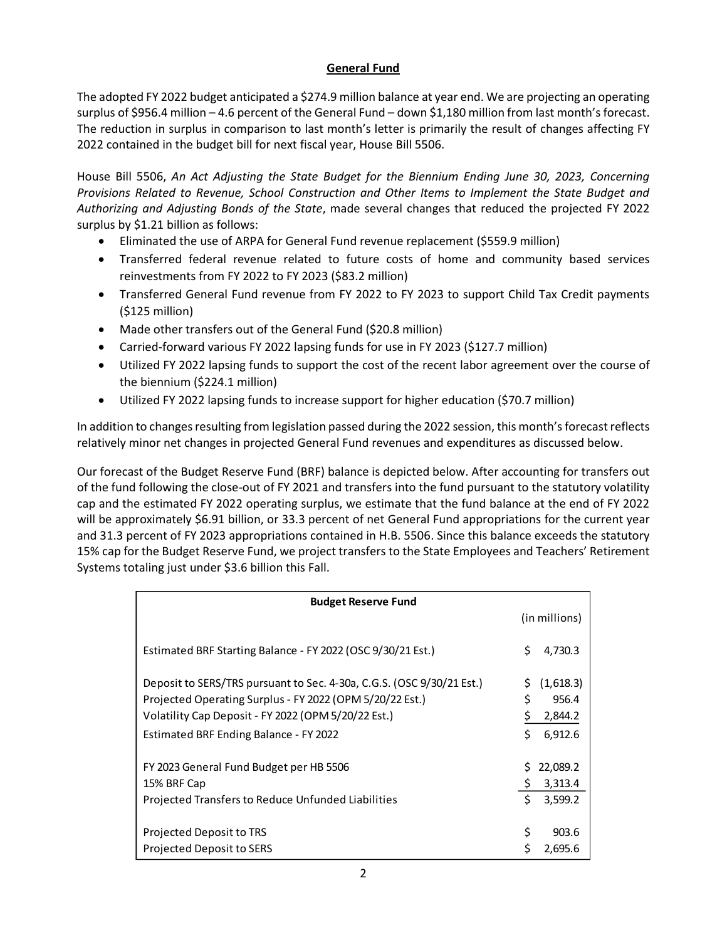# **General Fund**

The adopted FY 2022 budget anticipated a \$274.9 million balance at year end. We are projecting an operating surplus of \$956.4 million – 4.6 percent of the General Fund – down \$1,180 million from last month's forecast. The reduction in surplus in comparison to last month's letter is primarily the result of changes affecting FY 2022 contained in the budget bill for next fiscal year, House Bill 5506.

House Bill 5506, *An Act Adjusting the State Budget for the Biennium Ending June 30, 2023, Concerning Provisions Related to Revenue, School Construction and Other Items to Implement the State Budget and Authorizing and Adjusting Bonds of the State*, made several changes that reduced the projected FY 2022 surplus by \$1.21 billion as follows:

- Eliminated the use of ARPA for General Fund revenue replacement (\$559.9 million)
- Transferred federal revenue related to future costs of home and community based services reinvestments from FY 2022 to FY 2023 (\$83.2 million)
- Transferred General Fund revenue from FY 2022 to FY 2023 to support Child Tax Credit payments (\$125 million)
- Made other transfers out of the General Fund (\$20.8 million)
- Carried-forward various FY 2022 lapsing funds for use in FY 2023 (\$127.7 million)
- Utilized FY 2022 lapsing funds to support the cost of the recent labor agreement over the course of the biennium (\$224.1 million)
- Utilized FY 2022 lapsing funds to increase support for higher education (\$70.7 million)

In addition to changes resulting from legislation passed during the 2022 session, this month's forecast reflects relatively minor net changes in projected General Fund revenues and expenditures as discussed below.

Our forecast of the Budget Reserve Fund (BRF) balance is depicted below. After accounting for transfers out of the fund following the close-out of FY 2021 and transfers into the fund pursuant to the statutory volatility cap and the estimated FY 2022 operating surplus, we estimate that the fund balance at the end of FY 2022 will be approximately \$6.91 billion, or 33.3 percent of net General Fund appropriations for the current year and 31.3 percent of FY 2023 appropriations contained in H.B. 5506. Since this balance exceeds the statutory 15% cap for the Budget Reserve Fund, we project transfers to the State Employees and Teachers' Retirement Systems totaling just under \$3.6 billion this Fall.

| <b>Budget Reserve Fund</b>                                            |     |               |
|-----------------------------------------------------------------------|-----|---------------|
|                                                                       |     | (in millions) |
|                                                                       |     |               |
| Estimated BRF Starting Balance - FY 2022 (OSC 9/30/21 Est.)           | Ś   | 4,730.3       |
|                                                                       |     |               |
| Deposit to SERS/TRS pursuant to Sec. 4-30a, C.G.S. (OSC 9/30/21 Est.) | S.  | (1,618.3)     |
| Projected Operating Surplus - FY 2022 (OPM 5/20/22 Est.)              | Ś   | 956.4         |
| Volatility Cap Deposit - FY 2022 (OPM 5/20/22 Est.)                   |     | 2,844.2       |
| Estimated BRF Ending Balance - FY 2022                                | \$  | 6,912.6       |
|                                                                       |     |               |
| FY 2023 General Fund Budget per HB 5506                               | S.  | 22,089.2      |
| 15% BRF Cap                                                           | \$. | 3,313.4       |
| Projected Transfers to Reduce Unfunded Liabilities                    | Ś.  | 3,599.2       |
|                                                                       |     |               |
| Projected Deposit to TRS                                              | \$  | 903.6         |
| Projected Deposit to SERS                                             |     | 2,695.6       |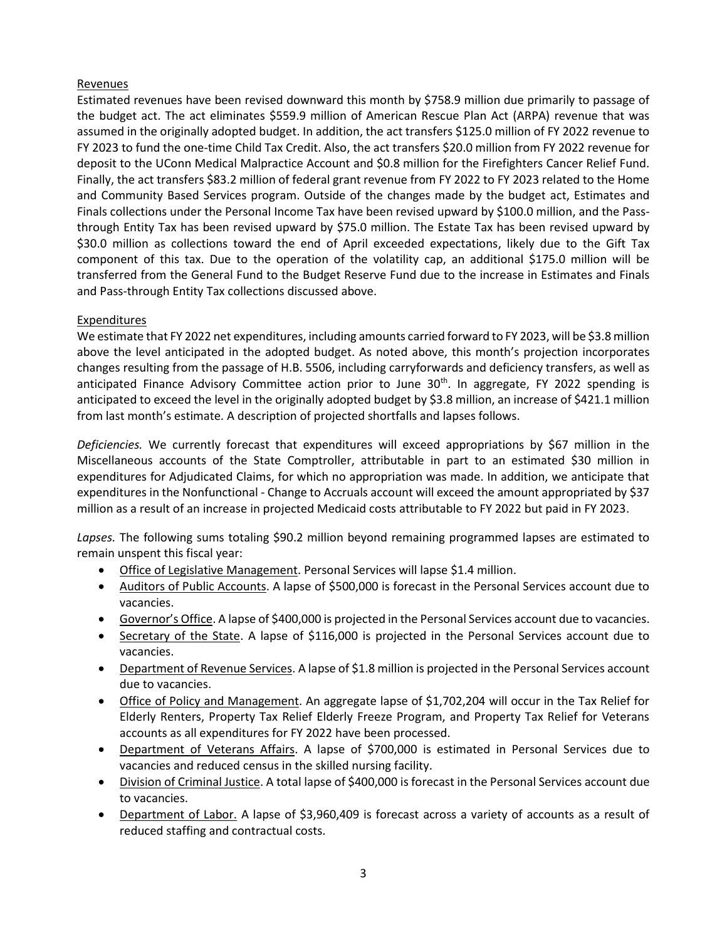### Revenues

Estimated revenues have been revised downward this month by \$758.9 million due primarily to passage of the budget act. The act eliminates \$559.9 million of American Rescue Plan Act (ARPA) revenue that was assumed in the originally adopted budget. In addition, the act transfers \$125.0 million of FY 2022 revenue to FY 2023 to fund the one-time Child Tax Credit. Also, the act transfers \$20.0 million from FY 2022 revenue for deposit to the UConn Medical Malpractice Account and \$0.8 million for the Firefighters Cancer Relief Fund. Finally, the act transfers \$83.2 million of federal grant revenue from FY 2022 to FY 2023 related to the Home and Community Based Services program. Outside of the changes made by the budget act, Estimates and Finals collections under the Personal Income Tax have been revised upward by \$100.0 million, and the Passthrough Entity Tax has been revised upward by \$75.0 million. The Estate Tax has been revised upward by \$30.0 million as collections toward the end of April exceeded expectations, likely due to the Gift Tax component of this tax. Due to the operation of the volatility cap, an additional \$175.0 million will be transferred from the General Fund to the Budget Reserve Fund due to the increase in Estimates and Finals and Pass-through Entity Tax collections discussed above.

# Expenditures

We estimate that FY 2022 net expenditures, including amounts carried forward to FY 2023, will be \$3.8 million above the level anticipated in the adopted budget. As noted above, this month's projection incorporates changes resulting from the passage of H.B. 5506, including carryforwards and deficiency transfers, as well as anticipated Finance Advisory Committee action prior to June  $30<sup>th</sup>$ . In aggregate, FY 2022 spending is anticipated to exceed the level in the originally adopted budget by \$3.8 million, an increase of \$421.1 million from last month's estimate. A description of projected shortfalls and lapses follows.

*Deficiencies.* We currently forecast that expenditures will exceed appropriations by \$67 million in the Miscellaneous accounts of the State Comptroller, attributable in part to an estimated \$30 million in expenditures for Adjudicated Claims, for which no appropriation was made. In addition, we anticipate that expenditures in the Nonfunctional - Change to Accruals account will exceed the amount appropriated by \$37 million as a result of an increase in projected Medicaid costs attributable to FY 2022 but paid in FY 2023.

*Lapses.* The following sums totaling \$90.2 million beyond remaining programmed lapses are estimated to remain unspent this fiscal year:

- Office of Legislative Management. Personal Services will lapse \$1.4 million.
- Auditors of Public Accounts. A lapse of \$500,000 is forecast in the Personal Services account due to vacancies.
- Governor's Office. A lapse of \$400,000 is projected in the Personal Services account due to vacancies.
- Secretary of the State. A lapse of \$116,000 is projected in the Personal Services account due to vacancies.
- Department of Revenue Services. A lapse of \$1.8 million is projected in the Personal Services account due to vacancies.
- Office of Policy and Management. An aggregate lapse of \$1,702,204 will occur in the Tax Relief for Elderly Renters, Property Tax Relief Elderly Freeze Program, and Property Tax Relief for Veterans accounts as all expenditures for FY 2022 have been processed.
- Department of Veterans Affairs. A lapse of \$700,000 is estimated in Personal Services due to vacancies and reduced census in the skilled nursing facility.
- Division of Criminal Justice. A total lapse of \$400,000 is forecast in the Personal Services account due to vacancies.
- Department of Labor. A lapse of \$3,960,409 is forecast across a variety of accounts as a result of reduced staffing and contractual costs.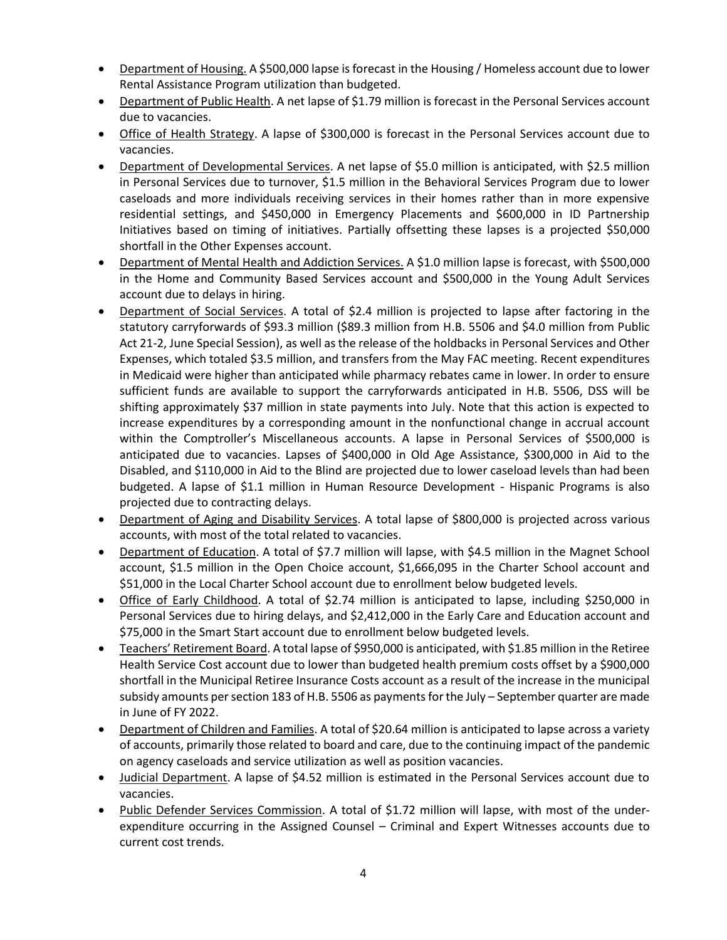- Department of Housing. A \$500,000 lapse is forecast in the Housing / Homeless account due to lower Rental Assistance Program utilization than budgeted.
- Department of Public Health. A net lapse of \$1.79 million is forecast in the Personal Services account due to vacancies.
- Office of Health Strategy. A lapse of \$300,000 is forecast in the Personal Services account due to vacancies.
- Department of Developmental Services. A net lapse of \$5.0 million is anticipated, with \$2.5 million in Personal Services due to turnover, \$1.5 million in the Behavioral Services Program due to lower caseloads and more individuals receiving services in their homes rather than in more expensive residential settings, and \$450,000 in Emergency Placements and \$600,000 in ID Partnership Initiatives based on timing of initiatives. Partially offsetting these lapses is a projected \$50,000 shortfall in the Other Expenses account.
- Department of Mental Health and Addiction Services. A \$1.0 million lapse is forecast, with \$500,000 in the Home and Community Based Services account and \$500,000 in the Young Adult Services account due to delays in hiring.
- Department of Social Services. A total of \$2.4 million is projected to lapse after factoring in the statutory carryforwards of \$93.3 million (\$89.3 million from H.B. 5506 and \$4.0 million from Public Act 21-2, June Special Session), as well as the release of the holdbacks in Personal Services and Other Expenses, which totaled \$3.5 million, and transfers from the May FAC meeting. Recent expenditures in Medicaid were higher than anticipated while pharmacy rebates came in lower. In order to ensure sufficient funds are available to support the carryforwards anticipated in H.B. 5506, DSS will be shifting approximately \$37 million in state payments into July. Note that this action is expected to increase expenditures by a corresponding amount in the nonfunctional change in accrual account within the Comptroller's Miscellaneous accounts. A lapse in Personal Services of \$500,000 is anticipated due to vacancies. Lapses of \$400,000 in Old Age Assistance, \$300,000 in Aid to the Disabled, and \$110,000 in Aid to the Blind are projected due to lower caseload levels than had been budgeted. A lapse of \$1.1 million in Human Resource Development - Hispanic Programs is also projected due to contracting delays.
- Department of Aging and Disability Services. A total lapse of \$800,000 is projected across various accounts, with most of the total related to vacancies.
- Department of Education. A total of \$7.7 million will lapse, with \$4.5 million in the Magnet School account, \$1.5 million in the Open Choice account, \$1,666,095 in the Charter School account and \$51,000 in the Local Charter School account due to enrollment below budgeted levels.
- Office of Early Childhood. A total of \$2.74 million is anticipated to lapse, including \$250,000 in Personal Services due to hiring delays, and \$2,412,000 in the Early Care and Education account and \$75,000 in the Smart Start account due to enrollment below budgeted levels.
- Teachers' Retirement Board. A total lapse of \$950,000 is anticipated, with \$1.85 million in the Retiree Health Service Cost account due to lower than budgeted health premium costs offset by a \$900,000 shortfall in the Municipal Retiree Insurance Costs account as a result of the increase in the municipal subsidy amounts per section 183 of H.B. 5506 as payments for the July – September quarter are made in June of FY 2022.
- Department of Children and Families. A total of \$20.64 million is anticipated to lapse across a variety of accounts, primarily those related to board and care, due to the continuing impact of the pandemic on agency caseloads and service utilization as well as position vacancies.
- Judicial Department. A lapse of \$4.52 million is estimated in the Personal Services account due to vacancies.
- Public Defender Services Commission. A total of \$1.72 million will lapse, with most of the underexpenditure occurring in the Assigned Counsel – Criminal and Expert Witnesses accounts due to current cost trends.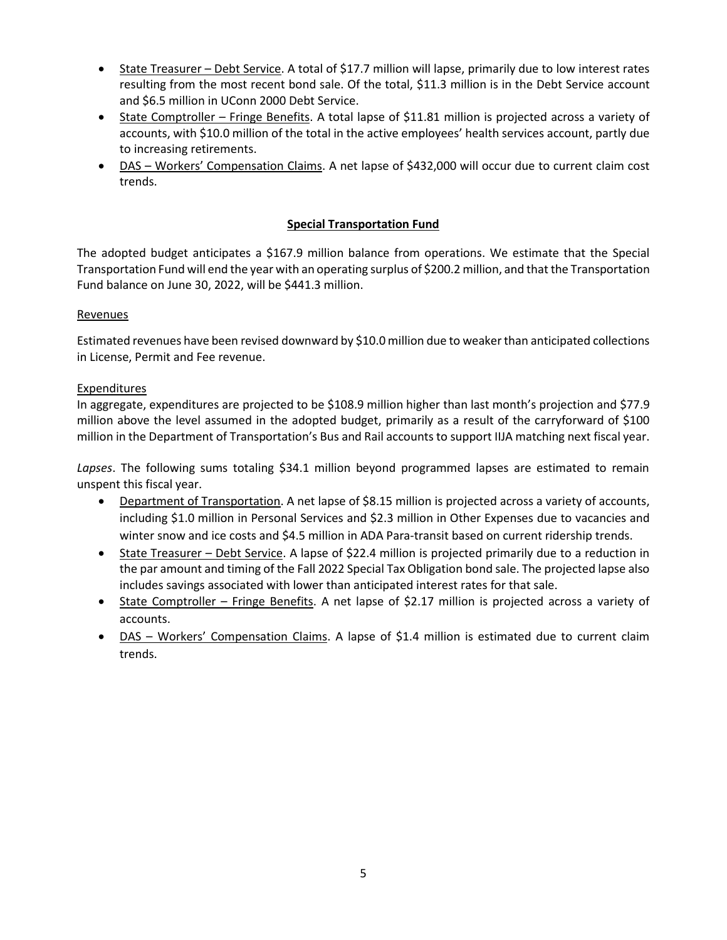- State Treasurer Debt Service. A total of \$17.7 million will lapse, primarily due to low interest rates resulting from the most recent bond sale. Of the total, \$11.3 million is in the Debt Service account and \$6.5 million in UConn 2000 Debt Service.
- State Comptroller Fringe Benefits. A total lapse of \$11.81 million is projected across a variety of accounts, with \$10.0 million of the total in the active employees' health services account, partly due to increasing retirements.
- DAS Workers' Compensation Claims. A net lapse of \$432,000 will occur due to current claim cost trends.

# **Special Transportation Fund**

The adopted budget anticipates a \$167.9 million balance from operations. We estimate that the Special Transportation Fund will end the year with an operating surplus of \$200.2 million, and that the Transportation Fund balance on June 30, 2022, will be \$441.3 million.

# Revenues

Estimated revenues have been revised downward by \$10.0 million due to weaker than anticipated collections in License, Permit and Fee revenue.

# Expenditures

In aggregate, expenditures are projected to be \$108.9 million higher than last month's projection and \$77.9 million above the level assumed in the adopted budget, primarily as a result of the carryforward of \$100 million in the Department of Transportation's Bus and Rail accounts to support IIJA matching next fiscal year.

*Lapses*. The following sums totaling \$34.1 million beyond programmed lapses are estimated to remain unspent this fiscal year.

- Department of Transportation. A net lapse of \$8.15 million is projected across a variety of accounts, including \$1.0 million in Personal Services and \$2.3 million in Other Expenses due to vacancies and winter snow and ice costs and \$4.5 million in ADA Para-transit based on current ridership trends.
- State Treasurer Debt Service. A lapse of \$22.4 million is projected primarily due to a reduction in the par amount and timing of the Fall 2022 Special Tax Obligation bond sale. The projected lapse also includes savings associated with lower than anticipated interest rates for that sale.
- State Comptroller Fringe Benefits. A net lapse of \$2.17 million is projected across a variety of accounts.
- DAS Workers' Compensation Claims. A lapse of \$1.4 million is estimated due to current claim trends.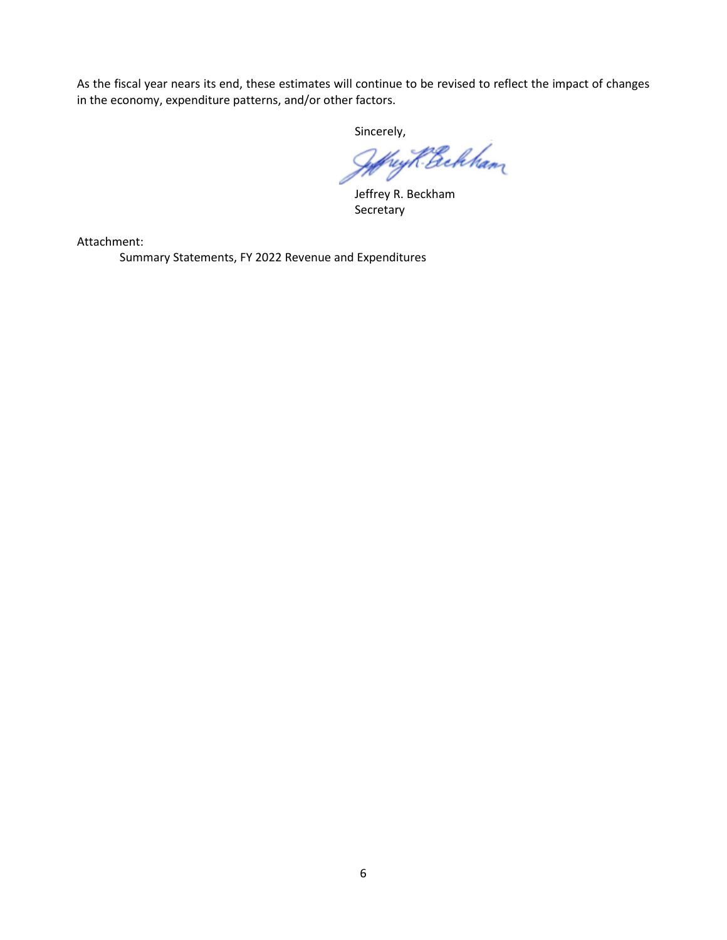As the fiscal year nears its end, these estimates will continue to be revised to reflect the impact of changes in the economy, expenditure patterns, and/or other factors.

sincerely,<br>Jeffryk Bekkam

Jeffrey R. Beckham Secretary

Attachment:

Summary Statements, FY 2022 Revenue and Expenditures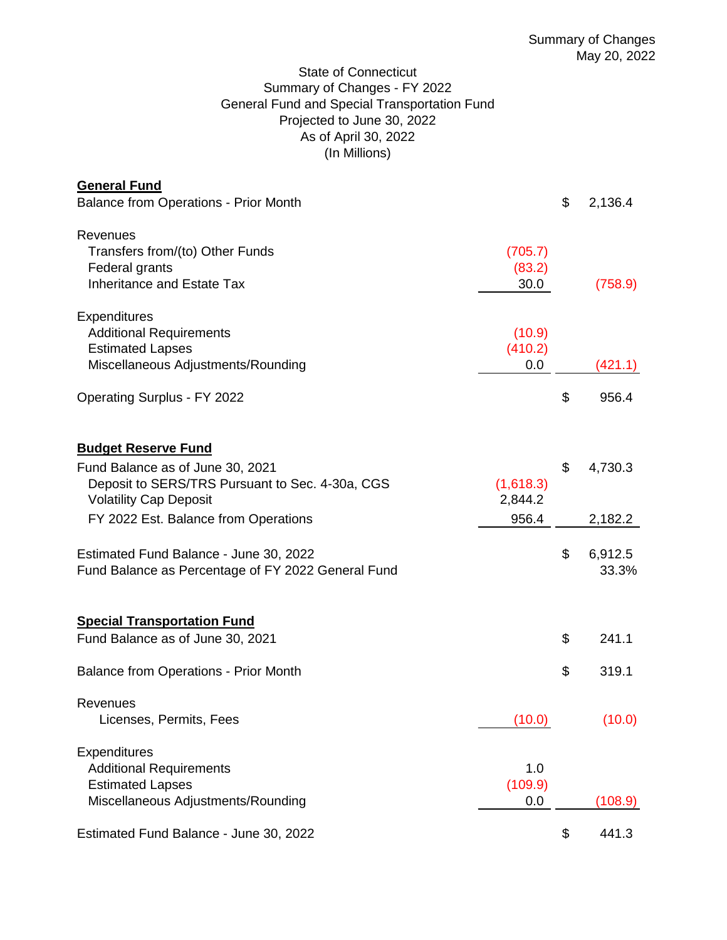# State of Connecticut Summary of Changes - FY 2022 General Fund and Special Transportation Fund Projected to June 30, 2022 As of April 30, 2022 (In Millions)

| <b>General Fund</b>                                                                                                                                                                        |                               |          |                    |
|--------------------------------------------------------------------------------------------------------------------------------------------------------------------------------------------|-------------------------------|----------|--------------------|
| <b>Balance from Operations - Prior Month</b>                                                                                                                                               |                               | \$       | 2,136.4            |
| Revenues<br>Transfers from/(to) Other Funds<br>Federal grants<br>Inheritance and Estate Tax                                                                                                | (705.7)<br>(83.2)<br>30.0     |          | (758.9)            |
| <b>Expenditures</b><br><b>Additional Requirements</b><br><b>Estimated Lapses</b><br>Miscellaneous Adjustments/Rounding                                                                     | (10.9)<br>(410.2)<br>0.0      |          | (421.1)            |
| <b>Operating Surplus - FY 2022</b>                                                                                                                                                         |                               | \$       | 956.4              |
| <b>Budget Reserve Fund</b><br>Fund Balance as of June 30, 2021<br>Deposit to SERS/TRS Pursuant to Sec. 4-30a, CGS<br><b>Volatility Cap Deposit</b><br>FY 2022 Est. Balance from Operations | (1,618.3)<br>2,844.2<br>956.4 | \$       | 4,730.3<br>2,182.2 |
| Estimated Fund Balance - June 30, 2022<br>Fund Balance as Percentage of FY 2022 General Fund                                                                                               |                               | \$       | 6,912.5<br>33.3%   |
| <b>Special Transportation Fund</b><br>Fund Balance as of June 30, 2021<br><b>Balance from Operations - Prior Month</b>                                                                     |                               | \$<br>\$ | 241.1<br>319.1     |
| Revenues<br>Licenses, Permits, Fees                                                                                                                                                        | (10.0)                        |          | (10.0)             |
| <b>Expenditures</b><br><b>Additional Requirements</b><br><b>Estimated Lapses</b><br>Miscellaneous Adjustments/Rounding                                                                     | 1.0<br>(109.9)<br>0.0         |          | (108.9)            |
| Estimated Fund Balance - June 30, 2022                                                                                                                                                     |                               | \$       | 441.3              |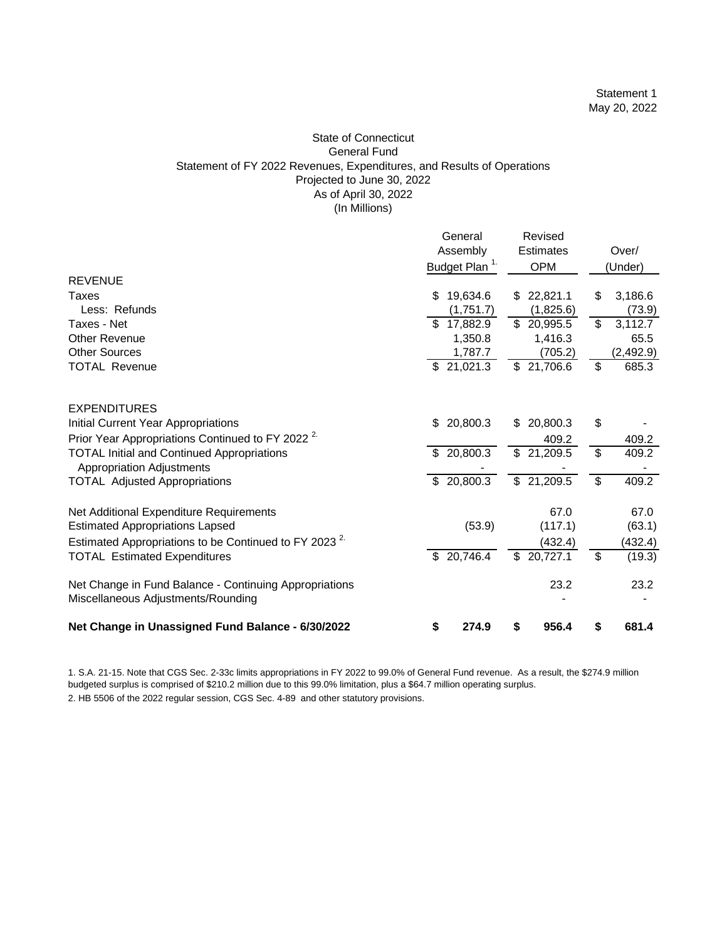#### State of Connecticut General Fund Statement of FY 2022 Revenues, Expenditures, and Results of Operations Projected to June 30, 2022 As of April 30, 2022 (In Millions)

|                                                                  |     | General                   | Revised                  |                          |           |
|------------------------------------------------------------------|-----|---------------------------|--------------------------|--------------------------|-----------|
|                                                                  |     | Assembly                  | Estimates                |                          | Over/     |
|                                                                  |     | Budget Plan <sup>1.</sup> | <b>OPM</b>               |                          | (Under)   |
| <b>REVENUE</b>                                                   |     |                           |                          |                          |           |
| Taxes                                                            | \$  | 19,634.6                  | \$22,821.1               | \$                       | 3,186.6   |
| Less: Refunds                                                    |     | (1,751.7)                 | (1,825.6)                |                          | (73.9)    |
| Taxes - Net                                                      |     | \$17,882.9                | \$ 20,995.5              | \$                       | 3,112.7   |
| <b>Other Revenue</b>                                             |     | 1,350.8                   | 1,416.3                  |                          | 65.5      |
| <b>Other Sources</b>                                             |     | 1,787.7                   | (705.2)                  |                          | (2,492.9) |
| <b>TOTAL Revenue</b>                                             |     | \$21,021.3                | \$21,706.6               | \$                       | 685.3     |
| <b>EXPENDITURES</b>                                              |     |                           |                          |                          |           |
| Initial Current Year Appropriations                              | \$  | 20,800.3                  | \$<br>20,800.3           | \$                       |           |
| Prior Year Appropriations Continued to FY 2022 <sup>2</sup>      |     |                           | 409.2                    |                          | 409.2     |
| <b>TOTAL Initial and Continued Appropriations</b>                | \$. | 20,800.3                  | \$21,209.5               | \$                       | 409.2     |
| <b>Appropriation Adjustments</b>                                 |     |                           |                          |                          |           |
| <b>TOTAL Adjusted Appropriations</b>                             |     | \$20,800.3                | \$21,209.5               | \$                       | 409.2     |
| Net Additional Expenditure Requirements                          |     |                           | 67.0                     |                          | 67.0      |
| <b>Estimated Appropriations Lapsed</b>                           |     | (53.9)                    | (117.1)                  |                          | (63.1)    |
| Estimated Appropriations to be Continued to FY 2023 <sup>2</sup> |     |                           | (432.4)                  |                          | (432.4)   |
| <b>TOTAL Estimated Expenditures</b>                              | \$  | 20,746.4                  | $\overline{\$}$ 20,727.1 | $\overline{\mathcal{S}}$ | (19.3)    |
| Net Change in Fund Balance - Continuing Appropriations           |     |                           | 23.2                     |                          | 23.2      |
| Miscellaneous Adjustments/Rounding                               |     |                           |                          |                          |           |
| Net Change in Unassigned Fund Balance - 6/30/2022                | \$  | 274.9                     | \$<br>956.4              | \$                       | 681.4     |

1. S.A. 21-15. Note that CGS Sec. 2-33c limits appropriations in FY 2022 to 99.0% of General Fund revenue. As a result, the \$274.9 million budgeted surplus is comprised of \$210.2 million due to this 99.0% limitation, plus a \$64.7 million operating surplus.

2. HB 5506 of the 2022 regular session, CGS Sec. 4-89 and other statutory provisions.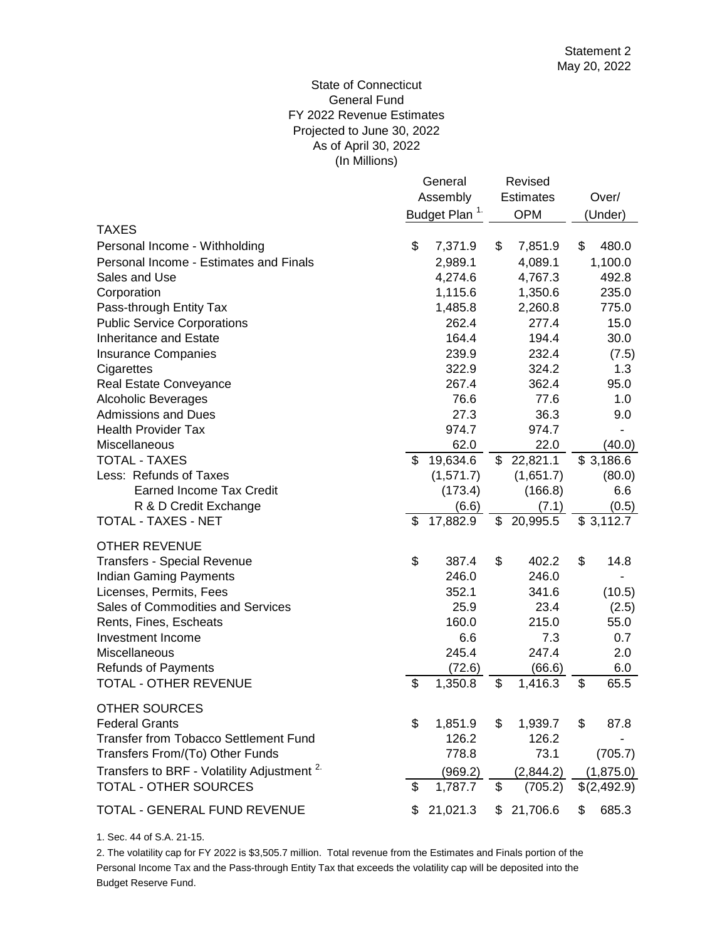# (In Millions) State of Connecticut General Fund FY 2022 Revenue Estimates Projected to June 30, 2022 As of April 30, 2022

|                                                        |          | General                   |    | Revised          |    |             |
|--------------------------------------------------------|----------|---------------------------|----|------------------|----|-------------|
|                                                        | Assembly |                           |    | <b>Estimates</b> |    | Over/       |
|                                                        |          | Budget Plan <sup>1.</sup> |    | <b>OPM</b>       |    | (Under)     |
| TAXES                                                  |          |                           |    |                  |    |             |
| Personal Income - Withholding                          | \$       | 7,371.9                   | \$ | 7,851.9          | \$ | 480.0       |
| Personal Income - Estimates and Finals                 |          | 2,989.1                   |    | 4,089.1          |    | 1,100.0     |
| Sales and Use                                          |          | 4,274.6                   |    | 4,767.3          |    | 492.8       |
| Corporation                                            |          | 1,115.6                   |    | 1,350.6          |    | 235.0       |
| Pass-through Entity Tax                                |          | 1,485.8                   |    | 2,260.8          |    | 775.0       |
| <b>Public Service Corporations</b>                     |          | 262.4                     |    | 277.4            |    | 15.0        |
| <b>Inheritance and Estate</b>                          |          | 164.4                     |    | 194.4            |    | 30.0        |
| <b>Insurance Companies</b>                             |          | 239.9                     |    | 232.4            |    | (7.5)       |
| Cigarettes                                             |          | 322.9                     |    | 324.2            |    | 1.3         |
| Real Estate Conveyance                                 |          | 267.4                     |    | 362.4            |    | 95.0        |
| <b>Alcoholic Beverages</b>                             |          | 76.6                      |    | 77.6             |    | 1.0         |
| <b>Admissions and Dues</b>                             |          | 27.3                      |    | 36.3             |    | 9.0         |
| <b>Health Provider Tax</b>                             |          | 974.7                     |    | 974.7            |    |             |
| Miscellaneous                                          |          | 62.0                      |    | 22.0             |    | (40.0)      |
| <b>TOTAL - TAXES</b>                                   | \$       | 19,634.6                  | \$ | 22,821.1         |    | \$3,186.6   |
| Less: Refunds of Taxes                                 |          | (1,571.7)                 |    | (1,651.7)        |    | (80.0)      |
| <b>Earned Income Tax Credit</b>                        |          | (173.4)                   |    | (166.8)          |    | 6.6         |
| R & D Credit Exchange                                  |          | (6.6)                     |    | (7.1)            |    | (0.5)       |
| TOTAL - TAXES - NET                                    | \$       | 17,882.9                  | \$ | 20,995.5         |    | \$3,112.7   |
| <b>OTHER REVENUE</b>                                   |          |                           |    |                  |    |             |
| <b>Transfers - Special Revenue</b>                     | \$       | 387.4                     | \$ | 402.2            | \$ | 14.8        |
| <b>Indian Gaming Payments</b>                          |          | 246.0                     |    | 246.0            |    |             |
| Licenses, Permits, Fees                                |          | 352.1                     |    | 341.6            |    | (10.5)      |
| Sales of Commodities and Services                      |          | 25.9                      |    | 23.4             |    | (2.5)       |
| Rents, Fines, Escheats                                 |          | 160.0                     |    | 215.0            |    | 55.0        |
| Investment Income                                      |          | 6.6                       |    | 7.3              |    | 0.7         |
| Miscellaneous                                          |          | 245.4                     |    | 247.4            |    | 2.0         |
| <b>Refunds of Payments</b>                             |          | (72.6)                    |    | (66.6)           |    | 6.0         |
| <b>TOTAL - OTHER REVENUE</b>                           | \$       | 1,350.8                   | \$ | 1,416.3          | \$ | 65.5        |
|                                                        |          |                           |    |                  |    |             |
| <b>OTHER SOURCES</b><br><b>Federal Grants</b>          | \$       | 1,851.9                   | \$ | 1,939.7          | \$ | 87.8        |
| Transfer from Tobacco Settlement Fund                  |          | 126.2                     |    | 126.2            |    |             |
| Transfers From/(To) Other Funds                        |          | 778.8                     |    | 73.1             |    | (705.7)     |
|                                                        |          |                           |    |                  |    |             |
| Transfers to BRF - Volatility Adjustment <sup>2.</sup> |          | (969.2)                   |    | (2,844.2)        |    | (1,875.0)   |
| TOTAL - OTHER SOURCES                                  | \$       | 1,787.7                   | \$ | (705.2)          |    | \$(2,492.9) |
| TOTAL - GENERAL FUND REVENUE                           | S        | 21,021.3                  | \$ | 21,706.6         | \$ | 685.3       |

1. Sec. 44 of S.A. 21-15.

Budget Reserve Fund. 2. The volatility cap for FY 2022 is \$3,505.7 million. Total revenue from the Estimates and Finals portion of the Personal Income Tax and the Pass-through Entity Tax that exceeds the volatility cap will be deposited into the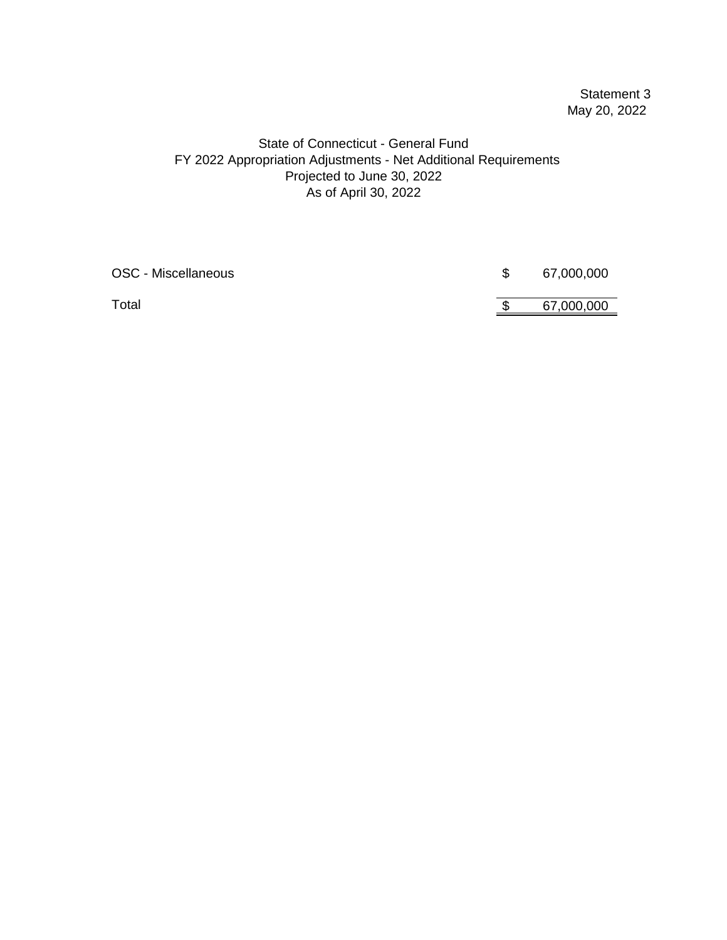# Statement 3 May 20, 2022

# State of Connecticut - General Fund FY 2022 Appropriation Adjustments - Net Additional Requirements As of April 30, 2022 Projected to June 30, 2022

| OSC - Miscellaneous | 67,000,000 |
|---------------------|------------|
| Total               | 67,000,000 |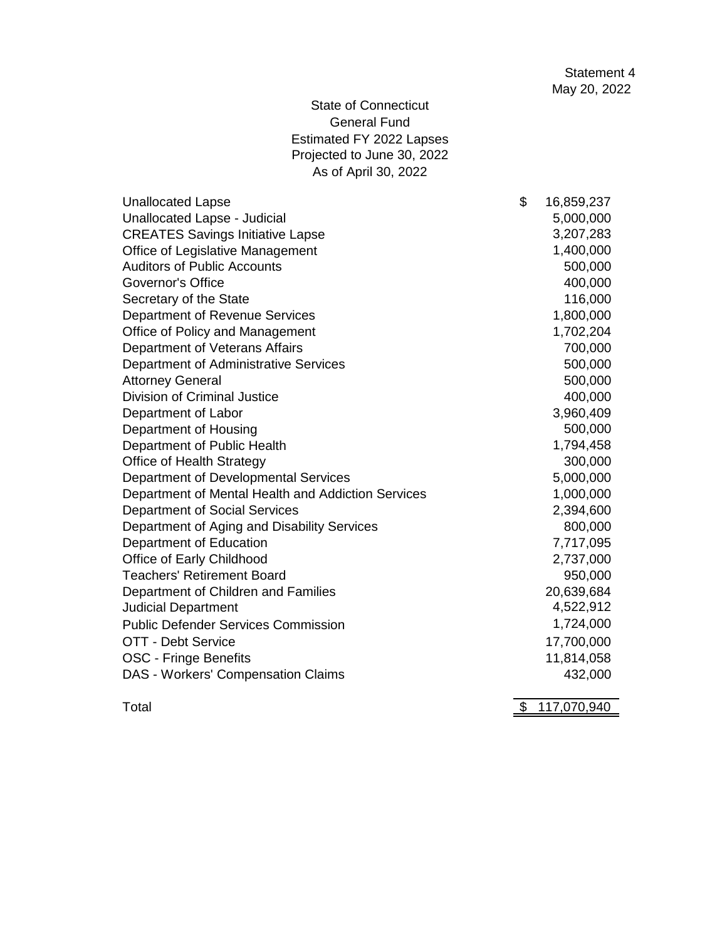State of Connecticut General Fund Estimated FY 2022 Lapses Projected to June 30, 2022 As of April 30, 2022

| <b>Unallocated Lapse</b>                           | \$<br>16,859,237 |
|----------------------------------------------------|------------------|
| Unallocated Lapse - Judicial                       | 5,000,000        |
| <b>CREATES Savings Initiative Lapse</b>            | 3,207,283        |
| Office of Legislative Management                   | 1,400,000        |
| <b>Auditors of Public Accounts</b>                 | 500,000          |
| Governor's Office                                  | 400,000          |
| Secretary of the State                             | 116,000          |
| Department of Revenue Services                     | 1,800,000        |
| Office of Policy and Management                    | 1,702,204        |
| Department of Veterans Affairs                     | 700,000          |
| Department of Administrative Services              | 500,000          |
| <b>Attorney General</b>                            | 500,000          |
| <b>Division of Criminal Justice</b>                | 400,000          |
| Department of Labor                                | 3,960,409        |
| Department of Housing                              | 500,000          |
| Department of Public Health                        | 1,794,458        |
| Office of Health Strategy                          | 300,000          |
| Department of Developmental Services               | 5,000,000        |
| Department of Mental Health and Addiction Services | 1,000,000        |
| Department of Social Services                      | 2,394,600        |
| Department of Aging and Disability Services        | 800,000          |
| Department of Education                            | 7,717,095        |
| Office of Early Childhood                          | 2,737,000        |
| <b>Teachers' Retirement Board</b>                  | 950,000          |
| Department of Children and Families                | 20,639,684       |
| <b>Judicial Department</b>                         | 4,522,912        |
| <b>Public Defender Services Commission</b>         | 1,724,000        |
| OTT - Debt Service                                 | 17,700,000       |
| OSC - Fringe Benefits                              | 11,814,058       |
| DAS - Workers' Compensation Claims                 | 432,000          |
|                                                    |                  |

Total \$ 117,070,940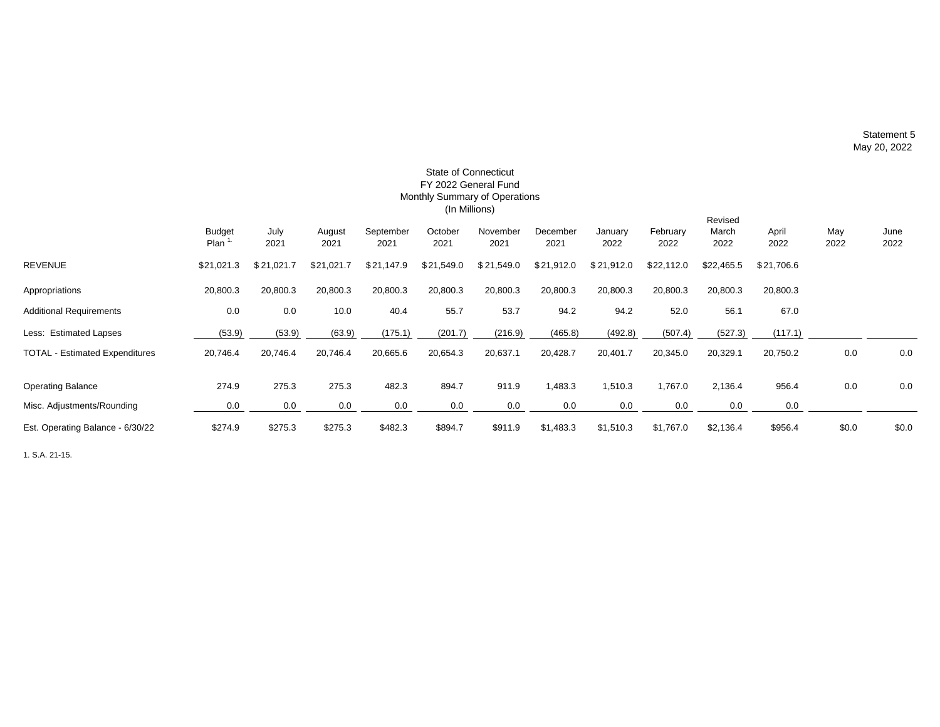Statement 5 May 20, 2022

|                                       | <b>State of Connecticut</b><br>FY 2022 General Fund<br>Monthly Summary of Operations<br>(In Millions) |              |                |                   |                 |                  |                  |                 |                  |                          |               |             |              |
|---------------------------------------|-------------------------------------------------------------------------------------------------------|--------------|----------------|-------------------|-----------------|------------------|------------------|-----------------|------------------|--------------------------|---------------|-------------|--------------|
|                                       | Budget<br>Plan <sup>1</sup>                                                                           | July<br>2021 | August<br>2021 | September<br>2021 | October<br>2021 | November<br>2021 | December<br>2021 | January<br>2022 | February<br>2022 | Revised<br>March<br>2022 | April<br>2022 | May<br>2022 | June<br>2022 |
| <b>REVENUE</b>                        | \$21,021.3                                                                                            | \$21,021.7   | \$21,021.7     | \$21,147.9        | \$21,549.0      | \$21,549.0       | \$21,912.0       | \$21,912.0      | \$22,112.0       | \$22,465.5               | \$21,706.6    |             |              |
| Appropriations                        | 20,800.3                                                                                              | 20,800.3     | 20,800.3       | 20,800.3          | 20,800.3        | 20,800.3         | 20,800.3         | 20,800.3        | 20,800.3         | 20,800.3                 | 20,800.3      |             |              |
| <b>Additional Requirements</b>        | 0.0                                                                                                   | 0.0          | 10.0           | 40.4              | 55.7            | 53.7             | 94.2             | 94.2            | 52.0             | 56.1                     | 67.0          |             |              |
| Less: Estimated Lapses                | (53.9)                                                                                                | (53.9)       | (63.9)         | (175.1)           | (201.7)         | (216.9)          | (465.8)          | (492.8)         | (507.4)          | (527.3)                  | (117.1)       |             |              |
| <b>TOTAL - Estimated Expenditures</b> | 20,746.4                                                                                              | 20,746.4     | 20,746.4       | 20,665.6          | 20,654.3        | 20,637.1         | 20,428.7         | 20,401.7        | 20,345.0         | 20,329.1                 | 20,750.2      | 0.0         | 0.0          |
| <b>Operating Balance</b>              | 274.9                                                                                                 | 275.3        | 275.3          | 482.3             | 894.7           | 911.9            | 1,483.3          | 1,510.3         | 1,767.0          | 2,136.4                  | 956.4         | 0.0         | 0.0          |
| Misc. Adjustments/Rounding            | 0.0                                                                                                   | 0.0          | 0.0            | 0.0               | 0.0             | 0.0              | 0.0              | 0.0             | 0.0              | 0.0                      | 0.0           |             |              |
| Est. Operating Balance - 6/30/22      | \$274.9                                                                                               | \$275.3      | \$275.3        | \$482.3           | \$894.7         | \$911.9          | \$1,483.3        | \$1,510.3       | \$1,767.0        | \$2,136.4                | \$956.4       | \$0.0       | \$0.0        |

1. S.A. 21-15.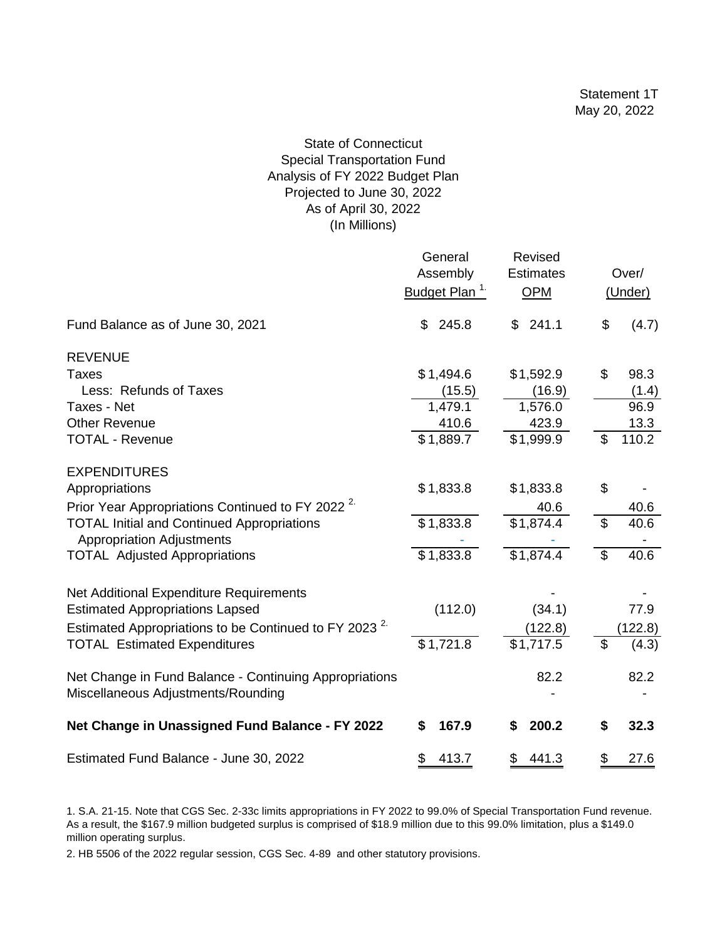# State of Connecticut Special Transportation Fund Analysis of FY 2022 Budget Plan Projected to June 30, 2022 As of April 30, 2022 (In Millions)

|                                                                                       | General<br>Assembly<br>Budget Plan <sup>1</sup> | Revised<br><b>Estimates</b><br><b>OPM</b> |                | Over/<br>(Under) |
|---------------------------------------------------------------------------------------|-------------------------------------------------|-------------------------------------------|----------------|------------------|
| Fund Balance as of June 30, 2021                                                      | 245.8<br>\$                                     | \$241.1                                   | \$             | (4.7)            |
| <b>REVENUE</b>                                                                        |                                                 |                                           |                |                  |
| <b>Taxes</b>                                                                          | \$1,494.6                                       | \$1,592.9                                 | \$             | 98.3             |
| Less: Refunds of Taxes                                                                | (15.5)                                          | (16.9)                                    |                | (1.4)            |
| Taxes - Net                                                                           | 1,479.1                                         | 1,576.0                                   |                | 96.9             |
| <b>Other Revenue</b>                                                                  | 410.6                                           | 423.9                                     |                | 13.3             |
| <b>TOTAL - Revenue</b>                                                                | \$1,889.7                                       | \$1,999.9                                 | \$             | 110.2            |
| <b>EXPENDITURES</b>                                                                   |                                                 |                                           |                |                  |
| Appropriations                                                                        | \$1,833.8                                       | \$1,833.8                                 | \$             |                  |
| Prior Year Appropriations Continued to FY 2022 <sup>2</sup>                           |                                                 | 40.6                                      |                | 40.6             |
| <b>TOTAL Initial and Continued Appropriations</b><br><b>Appropriation Adjustments</b> | \$1,833.8                                       | \$1,874.4                                 | $\mathfrak{L}$ | 40.6             |
| <b>TOTAL Adjusted Appropriations</b>                                                  | \$1,833.8                                       | \$1,874.4                                 | $\mathfrak{L}$ | 40.6             |
| Net Additional Expenditure Requirements                                               |                                                 |                                           |                |                  |
| <b>Estimated Appropriations Lapsed</b>                                                | (112.0)                                         | (34.1)                                    |                | 77.9             |
| Estimated Appropriations to be Continued to FY 2023 <sup>2.</sup>                     |                                                 | (122.8)                                   |                | (122.8)          |
| <b>TOTAL Estimated Expenditures</b>                                                   | \$1,721.8                                       | \$1,717.5                                 | \$             | (4.3)            |
| Net Change in Fund Balance - Continuing Appropriations                                |                                                 | 82.2                                      |                | 82.2             |
| Miscellaneous Adjustments/Rounding                                                    |                                                 |                                           |                |                  |
| Net Change in Unassigned Fund Balance - FY 2022                                       | 167.9<br>\$                                     | 200.2<br>\$                               | \$             | 32.3             |
| Estimated Fund Balance - June 30, 2022                                                | \$<br>413.7                                     | \$<br>441.3                               | \$             | 27.6             |

<sup>1.</sup> S.A. 21-15. Note that CGS Sec. 2-33c limits appropriations in FY 2022 to 99.0% of Special Transportation Fund revenue. As a result, the \$167.9 million budgeted surplus is comprised of \$18.9 million due to this 99.0% limitation, plus a \$149.0 million operating surplus.

2. HB 5506 of the 2022 regular session, CGS Sec. 4-89 and other statutory provisions.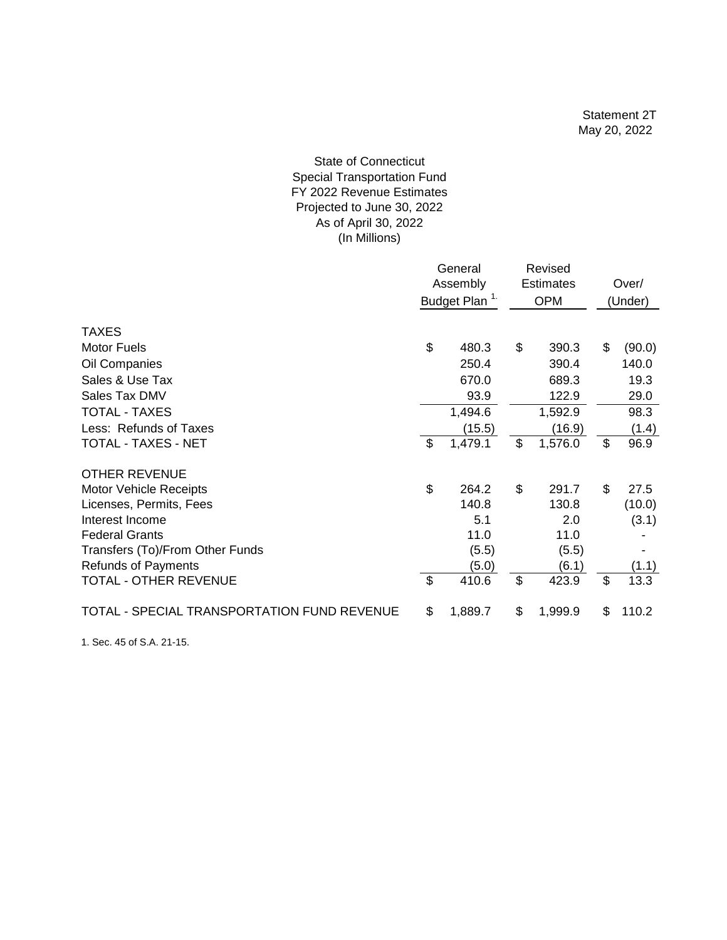# As of April 30, 2022 (In Millions) State of Connecticut Special Transportation Fund FY 2022 Revenue Estimates Projected to June 30, 2022

|                                             | General<br>Assembly<br>Budget Plan <sup>1.</sup> |         |    | Revised<br><b>Estimates</b><br><b>OPM</b> | Over/<br>(Under) |
|---------------------------------------------|--------------------------------------------------|---------|----|-------------------------------------------|------------------|
| <b>TAXES</b>                                |                                                  |         |    |                                           |                  |
| <b>Motor Fuels</b>                          | \$                                               | 480.3   | \$ | 390.3                                     | \$<br>(90.0)     |
| Oil Companies                               |                                                  | 250.4   |    | 390.4                                     | 140.0            |
| Sales & Use Tax                             |                                                  | 670.0   |    | 689.3                                     | 19.3             |
| Sales Tax DMV                               |                                                  | 93.9    |    | 122.9                                     | 29.0             |
| <b>TOTAL - TAXES</b>                        |                                                  | 1,494.6 |    | 1,592.9                                   | 98.3             |
| Less: Refunds of Taxes                      |                                                  | (15.5)  |    | (16.9)                                    | (1.4)            |
| TOTAL - TAXES - NET                         | \$                                               | 1,479.1 | \$ | 1,576.0                                   | \$<br>96.9       |
| <b>OTHER REVENUE</b>                        |                                                  |         |    |                                           |                  |
| <b>Motor Vehicle Receipts</b>               | \$                                               | 264.2   | \$ | 291.7                                     | \$<br>27.5       |
| Licenses, Permits, Fees                     |                                                  | 140.8   |    | 130.8                                     | (10.0)           |
| Interest Income                             |                                                  | 5.1     |    | 2.0                                       | (3.1)            |
| <b>Federal Grants</b>                       |                                                  | 11.0    |    | 11.0                                      |                  |
| Transfers (To)/From Other Funds             |                                                  | (5.5)   |    | (5.5)                                     |                  |
| <b>Refunds of Payments</b>                  |                                                  | (5.0)   |    | (6.1)                                     | (1.1)            |
| <b>TOTAL - OTHER REVENUE</b>                | $\mathcal{S}$                                    | 410.6   | \$ | 423.9                                     | \$<br>13.3       |
| TOTAL - SPECIAL TRANSPORTATION FUND REVENUE | \$                                               | 1,889.7 | \$ | 1,999.9                                   | \$<br>110.2      |

1. Sec. 45 of S.A. 21-15.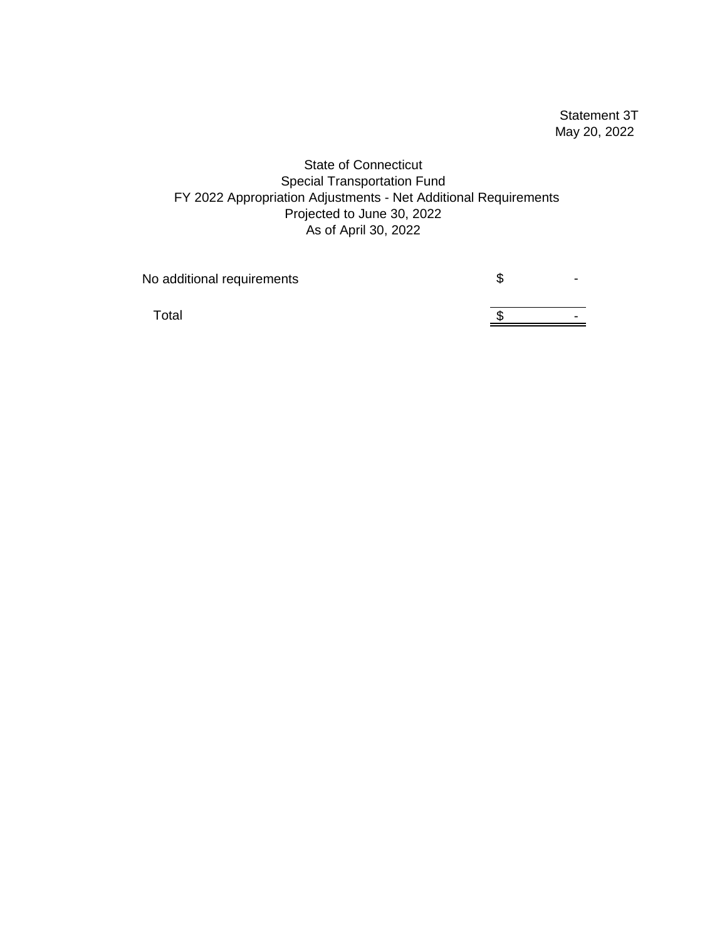Statement 3T May 20, 2022

State of Connecticut Special Transportation Fund FY 2022 Appropriation Adjustments - Net Additional Requirements Projected to June 30, 2022 As of April 30, 2022

No additional requirements **ACCO** SACCO SUMPARE AND SUMPARE SUMPARE AND THE SUMPARE SUMPARE SUMPARE SUMPARE SUMPARE

Total  $\frac{1}{\sqrt{2}}$  -  $\frac{1}{\sqrt{2}}$  -  $\frac{1}{\sqrt{2}}$  -  $\frac{1}{\sqrt{2}}$  -  $\frac{1}{\sqrt{2}}$  -  $\frac{1}{\sqrt{2}}$  -  $\frac{1}{\sqrt{2}}$  -  $\frac{1}{\sqrt{2}}$  -  $\frac{1}{\sqrt{2}}$  -  $\frac{1}{\sqrt{2}}$  -  $\frac{1}{\sqrt{2}}$  -  $\frac{1}{\sqrt{2}}$  -  $\frac{1}{\sqrt{2}}$  -  $\frac{1}{\sqrt{2}}$  -  $\frac{1$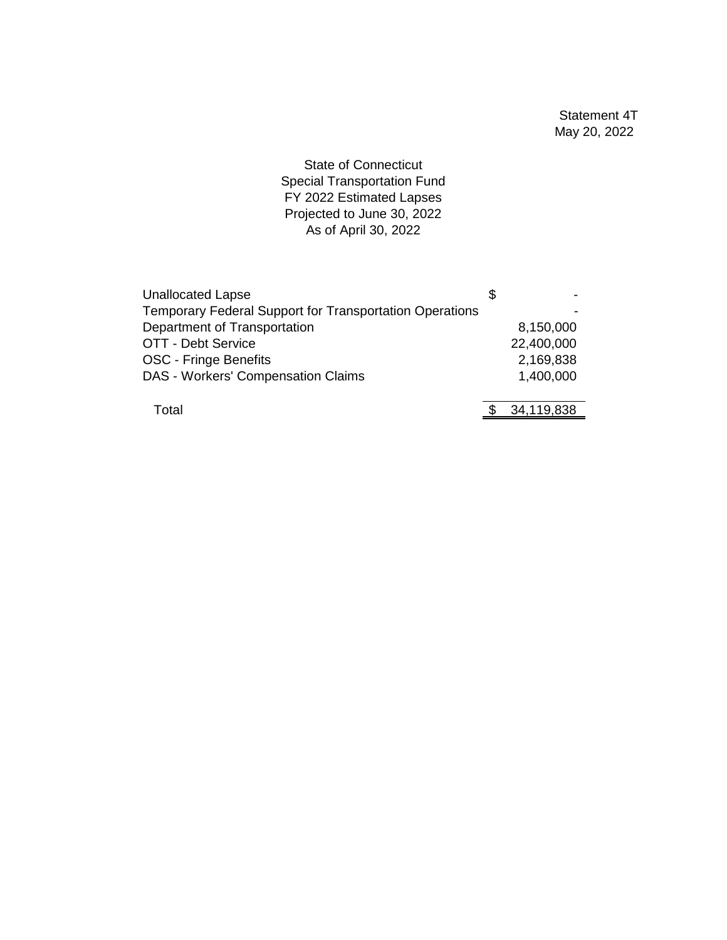State of Connecticut Special Transportation Fund FY 2022 Estimated Lapses Projected to June 30, 2022 As of April 30, 2022

| <b>Unallocated Lapse</b>                                | S |            |
|---------------------------------------------------------|---|------------|
| Temporary Federal Support for Transportation Operations |   |            |
| Department of Transportation                            |   | 8,150,000  |
| OTT - Debt Service                                      |   | 22,400,000 |
| <b>OSC - Fringe Benefits</b>                            |   | 2,169,838  |
| DAS - Workers' Compensation Claims                      |   | 1,400,000  |
|                                                         |   |            |
| Total                                                   |   | 34,119,838 |